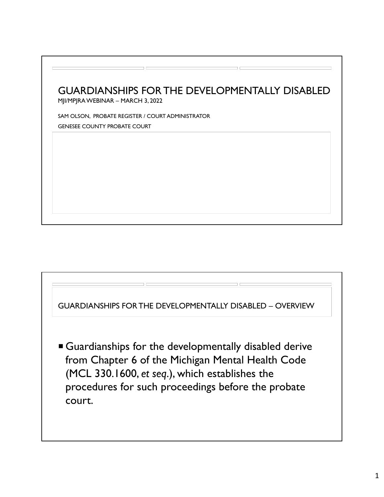



 Guardianships for the developmentally disabled derive from Chapter 6 of the Michigan Mental Health Code (MCL 330.1600, *et seq*.), which establishes the procedures for such proceedings before the probate court.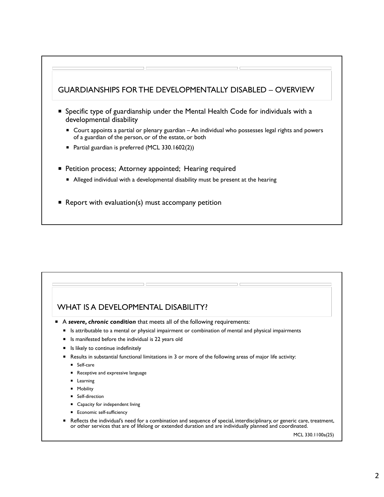### GUARDIANSHIPS FOR THE DEVELOPMENTALLY DISABLED – OVERVIEW

- Specific type of guardianship under the Mental Health Code for individuals with a developmental disability
	- Court appoints a partial or plenary guardian An individual who possesses legal rights and powers of a guardian of the person, or of the estate, or both
	- Partial guardian is preferred (MCL 330.1602(2))
- **Petition process; Attorney appointed; Hearing required** 
	- Alleged individual with a developmental disability must be present at the hearing
- Report with evaluation(s) must accompany petition

### WHAT IS A DEVELOPMENTAL DISABILITY?

- A *severe, chronic condition* that meets all of the following requirements:
	- **IS attributable to a mental or physical impairment or combination of mental and physical impairments**
	- Is manifested before the individual is 22 years old
	- **IF** Is likely to continue indefinitely
	- Results in substantial functional limitations in 3 or more of the following areas of major life activity:
		- **Self-care**
		- Receptive and expressive language
		- **Learning**
		- **Mobility**
		- **Self-direction**
		- Capacity for independent living
		- **Economic self-sufficiency**
	- Reflects the individual's need for a combination and sequence of special, interdisciplinary, or generic care, treatment, or other services that are of lifelong or extended duration and are individually planned and coordinated.

MCL 330.1100a(25)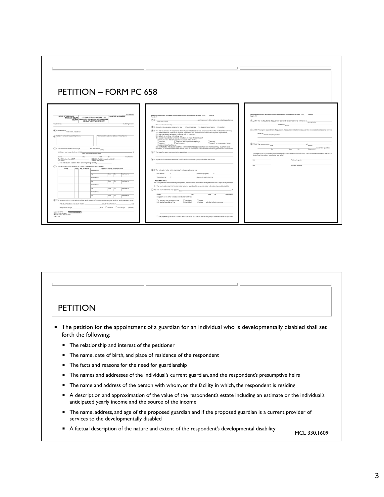

# **PETITION**  The petition for the appointment of a guardian for an individual who is developmentally disabled shall set forth the following: ■ The relationship and interest of the petitioner The name, date of birth, and place of residence of the respondent **The facts and reasons for the need for guardianship**  The names and addresses of the individual's current guardian, and the respondent's presumptive heirs The name and address of the person with whom, or the facility in which, the respondent is residing A description and approximation of the value of the respondent's estate including an estimate or the individual's anticipated yearly income and the source of the income The name, address, and age of the proposed guardian and if the proposed guardian is a current provider of services to the developmentally disabled A factual description of the nature and extent of the respondent's developmental disability MCL 330.1609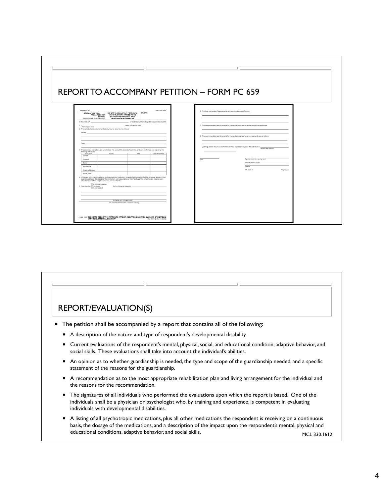

## REPORT/EVALUATION(S)

- The petition shall be accompanied by a report that contains all of the following:
	- A description of the nature and type of respondent's developmental disability.
	- Current evaluations of the respondent's mental, physical, social, and educational condition, adaptive behavior, and social skills. These evaluations shall take into account the individual's abilities.
	- An opinion as to whether guardianship is needed, the type and scope of the guardianship needed, and a specific statement of the reasons for the guardianship.
	- A recommendation as to the most appropriate rehabilitation plan and living arrangement for the individual and the reasons for the recommendation.
	- The signatures of all individuals who performed the evaluations upon which the report is based. One of the individuals shall be a physician or psychologist who, by training and experience, is competent in evaluating individuals with developmental disabilities.
	- A listing of all psychotropic medications, plus all other medications the respondent is receiving on a continuous basis, the dosage of the medications, and a description of the impact upon the respondent's mental, physical and educational conditions, adaptive behavior, and social skills. MCL 330.1612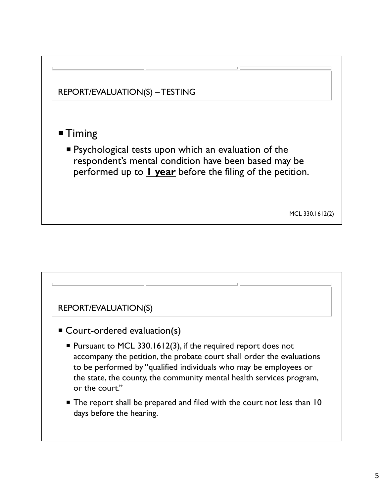

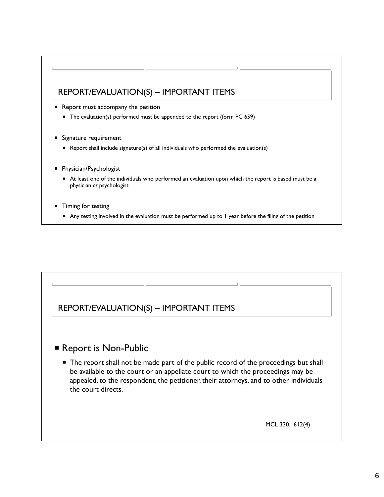## REPORT/EVALUATION(S) – IMPORTANT ITEMS

- Report must accompany the petition
	- The evaluation(s) performed must be appended to the report (form PC 659)
- Signature requirement
	- Report shall include signature(s) of all individuals who performed the evaluation(s)
- **Physician/Psychologist** 
	- At least one of the individuals who performed an evaluation upon which the report is based must be a physician *or* psychologist
- Timing for testing
	- Any testing involved in the evaluation must be performed up to 1 year before the filing of the petition

## REPORT/EVALUATION(S) – IMPORTANT ITEMS

## **Report is Non-Public**

■ The report shall not be made part of the public record of the proceedings but shall be available to the court or an appellate court to which the proceedings may be appealed, to the respondent, the petitioner, their attorneys, and to other individuals the court directs.

MCL 330.1612(4)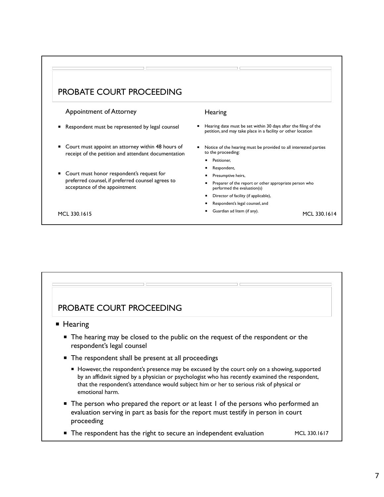## PROBATE COURT PROCEEDING

#### Appointment of Attorney

- Respondent must be represented by legal counsel
- Court must appoint an attorney within 48 hours of receipt of the petition and attendant documentation
- Court must honor respondent's request for preferred counsel, if preferred counsel agrees to acceptance of the appointment

#### **Hearing**

- Hearing date must be set within 30 days after the filing of the petition, and may take place in a facility or other location
- Notice of the hearing must be provided to all interested parties to the proceeding:
	- **Petitioner,**
	- **Respondent,**
	- **Presumptive heirs,**
	- **Preparer of the report or other appropriate person who** performed the evaluation(s)
	- Director of facility (if applicable),
	- Respondent's legal counsel, and
- MCL 330.1615 MCL 330.1614

# PROBATE COURT PROCEEDING **Hearing** ■ The hearing may be closed to the public on the request of the respondent or the respondent's legal counsel ■ The respondent shall be present at all proceedings However, the respondent's presence may be excused by the court only on a showing, supported by an affidavit signed by a physician or psychologist who has recently examined the respondent, that the respondent's attendance would subject him or her to serious risk of physical or emotional harm. ■ The person who prepared the report or at least 1 of the persons who performed an evaluation serving in part as basis for the report must testify in person in court proceeding ■ The respondent has the right to secure an independent evaluation MCL 330.1617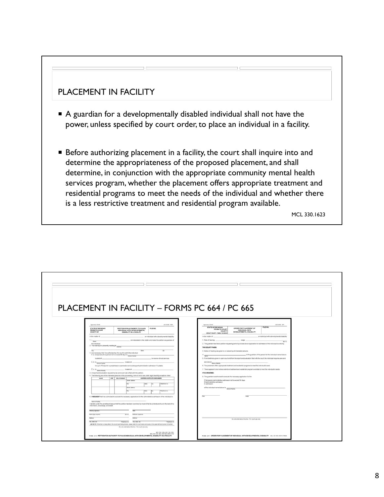## PLACEMENT IN FACILITY

- A guardian for a developmentally disabled individual shall not have the power, unless specified by court order, to place an individual in a facility.
- **Before authorizing placement in a facility, the court shall inquire into and** determine the appropriateness of the proposed placement, and shall determine, in conjunction with the appropriate community mental health services program, whether the placement offers appropriate treatment and residential programs to meet the needs of the individual and whether there is a less restrictive treatment and residential program available.

MCL 330.1623

| PLACEMENT IN FACILITY - FORMS PC 664 / PC 665<br>Approved, SCAO<br>JIS CODE: PDA<br>Approved, SCAO<br>JIS CODE OPI<br>FILE NO.<br><b>STATE OF MICHIGAN</b><br>ORDER FOR PLACEMENT OF<br>STATE OF MICHIGAN<br>FILE NO.<br>PETITION FOR AUTHORITY TO PLACE<br><b>PROBATE COURT</b><br><b>PROBATECOURT</b><br>INDIVIDUAL WITH DEVELOPMENTAL<br>INDIVIDUAL WITH<br>COUNTY<br><b>DISABILITY IN A FACILITY</b><br>DEVELOPMENTAL DISABILITY<br><b>COUNTY OF</b><br>CIRCUIT COURT - FAMILY DIVISION<br>an individual with a developmental disability<br>In the matter of _<br>. an individual with a developmental disability<br>In the matter of<br>1. Date of hearing:<br>$\longrightarrow$ $\omega_{\mathcal{P}}$<br>am interested in this matter and make this petition as guardian of<br>$1.1_{\overline{\text{Name}}}$<br>Bar n.o.<br>2. The guardian has filed a petition requesting authority to execute an application for admission of the individual to a facility.<br>the individual.<br>2. The individual is presently residing at Aldress<br>THE COURT FINDS:<br>3. Notice of hearing was given to or waived by all interested persons.<br>3. It is necessary that I be authorized by this court to admit the individual<br>is the guardian of the person for the individual named above.<br>a temporarily for a period not to exceed 30 days to Name of center<br>$4 \frac{1}{\text{Name}}$<br>located at<br>to receive clinical services.<br>5. From testimony given in open court and from the report and evaluation filed with the court, the individual requires care and<br>. located at<br>D. to Name of center<br>services at $\frac{1}{\text{Name of } \text{fability}}$<br>for up to 10 days for a preadmission examination and subsequent administrative admission if suitable.<br>6. The placement offers appropriate treatment and residential programs to meet the individual's need.<br>7. There appears to be no less restrictive treatment and residential program available to meet the individual's needs.<br>$\Box$ c. to $\frac{}{\text{Name of body}}$<br>. located at<br>IT IS ORDERED:<br>4. A report and evaluation required by law and court rule is filed with this petition.<br>5. The following are all the interested persons in this proceeding, none of which are under legal disability except as noted:<br>8. The guardian is authorized to execute the necessary application for the<br>AGE RELATIONSHIP<br>ADDRESS AND TELEPHONENUMBER<br>NAME<br>□temporary administrative admission not to exceed 30 days<br>treet address<br>administrative admission<br>elections no<br>Dadmission<br>Greet address<br>of the individual named above to Name of facility<br>œ.<br>Telephone no.<br><b>Italy</b><br>Plastic<br>6. I REQUEST that I be authorized to execute the necessary applications for the administrative admission of the individual to<br>Name of facility<br>I declare under the penalties of perjury that this petition has been examined by me and that its contents are true to the best of my<br>information, knowledge, and belief.<br>Atomey signature<br>Tur.<br>Name (type or print)<br>Bar no.<br><b>Publican schedule</b><br><b>AA9xxx</b><br>Literan<br>Do not write below this line - For court use only<br>City, state, zip<br>Telephone no. City, state, zip<br>Telephone no.<br>USE NOTE: if this form is being fied in the circuit court family division, please enter the court name and county in the upper left-hand corner of the form.<br>Do not write below this line . For court use not-<br>MCL 330.1100b, MCL 330.1509,<br>MCL 330 1510, MCL 330 1623, MCR 5.746<br>PC664 (5/12) PETITION FOR AUTHORITY TO PLACE INDIVIDUAL WITH DEVELOPMENTAL DISABILITY IN A FACILITY |  |                                                                                                         |
|------------------------------------------------------------------------------------------------------------------------------------------------------------------------------------------------------------------------------------------------------------------------------------------------------------------------------------------------------------------------------------------------------------------------------------------------------------------------------------------------------------------------------------------------------------------------------------------------------------------------------------------------------------------------------------------------------------------------------------------------------------------------------------------------------------------------------------------------------------------------------------------------------------------------------------------------------------------------------------------------------------------------------------------------------------------------------------------------------------------------------------------------------------------------------------------------------------------------------------------------------------------------------------------------------------------------------------------------------------------------------------------------------------------------------------------------------------------------------------------------------------------------------------------------------------------------------------------------------------------------------------------------------------------------------------------------------------------------------------------------------------------------------------------------------------------------------------------------------------------------------------------------------------------------------------------------------------------------------------------------------------------------------------------------------------------------------------------------------------------------------------------------------------------------------------------------------------------------------------------------------------------------------------------------------------------------------------------------------------------------------------------------------------------------------------------------------------------------------------------------------------------------------------------------------------------------------------------------------------------------------------------------------------------------------------------------------------------------------------------------------------------------------------------------------------------------------------------------------------------------------------------------------------------------------------------------------------------------------------------------------------------------------------------------------------------------------------------------------------------------------------------------------------------------------------------------------------------------------------------------------------------------------------------------------------------------------------------------------------------------------------------------------------------------------------------------------------------------------------------------------------------------------------------------------------------------------------------------------------------------------------------------------------------------------------------------------------------------------------------------------|--|---------------------------------------------------------------------------------------------------------|
|                                                                                                                                                                                                                                                                                                                                                                                                                                                                                                                                                                                                                                                                                                                                                                                                                                                                                                                                                                                                                                                                                                                                                                                                                                                                                                                                                                                                                                                                                                                                                                                                                                                                                                                                                                                                                                                                                                                                                                                                                                                                                                                                                                                                                                                                                                                                                                                                                                                                                                                                                                                                                                                                                                                                                                                                                                                                                                                                                                                                                                                                                                                                                                                                                                                                                                                                                                                                                                                                                                                                                                                                                                                                                                                                                      |  |                                                                                                         |
|                                                                                                                                                                                                                                                                                                                                                                                                                                                                                                                                                                                                                                                                                                                                                                                                                                                                                                                                                                                                                                                                                                                                                                                                                                                                                                                                                                                                                                                                                                                                                                                                                                                                                                                                                                                                                                                                                                                                                                                                                                                                                                                                                                                                                                                                                                                                                                                                                                                                                                                                                                                                                                                                                                                                                                                                                                                                                                                                                                                                                                                                                                                                                                                                                                                                                                                                                                                                                                                                                                                                                                                                                                                                                                                                                      |  |                                                                                                         |
|                                                                                                                                                                                                                                                                                                                                                                                                                                                                                                                                                                                                                                                                                                                                                                                                                                                                                                                                                                                                                                                                                                                                                                                                                                                                                                                                                                                                                                                                                                                                                                                                                                                                                                                                                                                                                                                                                                                                                                                                                                                                                                                                                                                                                                                                                                                                                                                                                                                                                                                                                                                                                                                                                                                                                                                                                                                                                                                                                                                                                                                                                                                                                                                                                                                                                                                                                                                                                                                                                                                                                                                                                                                                                                                                                      |  |                                                                                                         |
|                                                                                                                                                                                                                                                                                                                                                                                                                                                                                                                                                                                                                                                                                                                                                                                                                                                                                                                                                                                                                                                                                                                                                                                                                                                                                                                                                                                                                                                                                                                                                                                                                                                                                                                                                                                                                                                                                                                                                                                                                                                                                                                                                                                                                                                                                                                                                                                                                                                                                                                                                                                                                                                                                                                                                                                                                                                                                                                                                                                                                                                                                                                                                                                                                                                                                                                                                                                                                                                                                                                                                                                                                                                                                                                                                      |  |                                                                                                         |
|                                                                                                                                                                                                                                                                                                                                                                                                                                                                                                                                                                                                                                                                                                                                                                                                                                                                                                                                                                                                                                                                                                                                                                                                                                                                                                                                                                                                                                                                                                                                                                                                                                                                                                                                                                                                                                                                                                                                                                                                                                                                                                                                                                                                                                                                                                                                                                                                                                                                                                                                                                                                                                                                                                                                                                                                                                                                                                                                                                                                                                                                                                                                                                                                                                                                                                                                                                                                                                                                                                                                                                                                                                                                                                                                                      |  |                                                                                                         |
|                                                                                                                                                                                                                                                                                                                                                                                                                                                                                                                                                                                                                                                                                                                                                                                                                                                                                                                                                                                                                                                                                                                                                                                                                                                                                                                                                                                                                                                                                                                                                                                                                                                                                                                                                                                                                                                                                                                                                                                                                                                                                                                                                                                                                                                                                                                                                                                                                                                                                                                                                                                                                                                                                                                                                                                                                                                                                                                                                                                                                                                                                                                                                                                                                                                                                                                                                                                                                                                                                                                                                                                                                                                                                                                                                      |  |                                                                                                         |
|                                                                                                                                                                                                                                                                                                                                                                                                                                                                                                                                                                                                                                                                                                                                                                                                                                                                                                                                                                                                                                                                                                                                                                                                                                                                                                                                                                                                                                                                                                                                                                                                                                                                                                                                                                                                                                                                                                                                                                                                                                                                                                                                                                                                                                                                                                                                                                                                                                                                                                                                                                                                                                                                                                                                                                                                                                                                                                                                                                                                                                                                                                                                                                                                                                                                                                                                                                                                                                                                                                                                                                                                                                                                                                                                                      |  |                                                                                                         |
|                                                                                                                                                                                                                                                                                                                                                                                                                                                                                                                                                                                                                                                                                                                                                                                                                                                                                                                                                                                                                                                                                                                                                                                                                                                                                                                                                                                                                                                                                                                                                                                                                                                                                                                                                                                                                                                                                                                                                                                                                                                                                                                                                                                                                                                                                                                                                                                                                                                                                                                                                                                                                                                                                                                                                                                                                                                                                                                                                                                                                                                                                                                                                                                                                                                                                                                                                                                                                                                                                                                                                                                                                                                                                                                                                      |  |                                                                                                         |
|                                                                                                                                                                                                                                                                                                                                                                                                                                                                                                                                                                                                                                                                                                                                                                                                                                                                                                                                                                                                                                                                                                                                                                                                                                                                                                                                                                                                                                                                                                                                                                                                                                                                                                                                                                                                                                                                                                                                                                                                                                                                                                                                                                                                                                                                                                                                                                                                                                                                                                                                                                                                                                                                                                                                                                                                                                                                                                                                                                                                                                                                                                                                                                                                                                                                                                                                                                                                                                                                                                                                                                                                                                                                                                                                                      |  |                                                                                                         |
|                                                                                                                                                                                                                                                                                                                                                                                                                                                                                                                                                                                                                                                                                                                                                                                                                                                                                                                                                                                                                                                                                                                                                                                                                                                                                                                                                                                                                                                                                                                                                                                                                                                                                                                                                                                                                                                                                                                                                                                                                                                                                                                                                                                                                                                                                                                                                                                                                                                                                                                                                                                                                                                                                                                                                                                                                                                                                                                                                                                                                                                                                                                                                                                                                                                                                                                                                                                                                                                                                                                                                                                                                                                                                                                                                      |  |                                                                                                         |
|                                                                                                                                                                                                                                                                                                                                                                                                                                                                                                                                                                                                                                                                                                                                                                                                                                                                                                                                                                                                                                                                                                                                                                                                                                                                                                                                                                                                                                                                                                                                                                                                                                                                                                                                                                                                                                                                                                                                                                                                                                                                                                                                                                                                                                                                                                                                                                                                                                                                                                                                                                                                                                                                                                                                                                                                                                                                                                                                                                                                                                                                                                                                                                                                                                                                                                                                                                                                                                                                                                                                                                                                                                                                                                                                                      |  |                                                                                                         |
|                                                                                                                                                                                                                                                                                                                                                                                                                                                                                                                                                                                                                                                                                                                                                                                                                                                                                                                                                                                                                                                                                                                                                                                                                                                                                                                                                                                                                                                                                                                                                                                                                                                                                                                                                                                                                                                                                                                                                                                                                                                                                                                                                                                                                                                                                                                                                                                                                                                                                                                                                                                                                                                                                                                                                                                                                                                                                                                                                                                                                                                                                                                                                                                                                                                                                                                                                                                                                                                                                                                                                                                                                                                                                                                                                      |  |                                                                                                         |
|                                                                                                                                                                                                                                                                                                                                                                                                                                                                                                                                                                                                                                                                                                                                                                                                                                                                                                                                                                                                                                                                                                                                                                                                                                                                                                                                                                                                                                                                                                                                                                                                                                                                                                                                                                                                                                                                                                                                                                                                                                                                                                                                                                                                                                                                                                                                                                                                                                                                                                                                                                                                                                                                                                                                                                                                                                                                                                                                                                                                                                                                                                                                                                                                                                                                                                                                                                                                                                                                                                                                                                                                                                                                                                                                                      |  |                                                                                                         |
|                                                                                                                                                                                                                                                                                                                                                                                                                                                                                                                                                                                                                                                                                                                                                                                                                                                                                                                                                                                                                                                                                                                                                                                                                                                                                                                                                                                                                                                                                                                                                                                                                                                                                                                                                                                                                                                                                                                                                                                                                                                                                                                                                                                                                                                                                                                                                                                                                                                                                                                                                                                                                                                                                                                                                                                                                                                                                                                                                                                                                                                                                                                                                                                                                                                                                                                                                                                                                                                                                                                                                                                                                                                                                                                                                      |  |                                                                                                         |
|                                                                                                                                                                                                                                                                                                                                                                                                                                                                                                                                                                                                                                                                                                                                                                                                                                                                                                                                                                                                                                                                                                                                                                                                                                                                                                                                                                                                                                                                                                                                                                                                                                                                                                                                                                                                                                                                                                                                                                                                                                                                                                                                                                                                                                                                                                                                                                                                                                                                                                                                                                                                                                                                                                                                                                                                                                                                                                                                                                                                                                                                                                                                                                                                                                                                                                                                                                                                                                                                                                                                                                                                                                                                                                                                                      |  |                                                                                                         |
|                                                                                                                                                                                                                                                                                                                                                                                                                                                                                                                                                                                                                                                                                                                                                                                                                                                                                                                                                                                                                                                                                                                                                                                                                                                                                                                                                                                                                                                                                                                                                                                                                                                                                                                                                                                                                                                                                                                                                                                                                                                                                                                                                                                                                                                                                                                                                                                                                                                                                                                                                                                                                                                                                                                                                                                                                                                                                                                                                                                                                                                                                                                                                                                                                                                                                                                                                                                                                                                                                                                                                                                                                                                                                                                                                      |  |                                                                                                         |
|                                                                                                                                                                                                                                                                                                                                                                                                                                                                                                                                                                                                                                                                                                                                                                                                                                                                                                                                                                                                                                                                                                                                                                                                                                                                                                                                                                                                                                                                                                                                                                                                                                                                                                                                                                                                                                                                                                                                                                                                                                                                                                                                                                                                                                                                                                                                                                                                                                                                                                                                                                                                                                                                                                                                                                                                                                                                                                                                                                                                                                                                                                                                                                                                                                                                                                                                                                                                                                                                                                                                                                                                                                                                                                                                                      |  |                                                                                                         |
|                                                                                                                                                                                                                                                                                                                                                                                                                                                                                                                                                                                                                                                                                                                                                                                                                                                                                                                                                                                                                                                                                                                                                                                                                                                                                                                                                                                                                                                                                                                                                                                                                                                                                                                                                                                                                                                                                                                                                                                                                                                                                                                                                                                                                                                                                                                                                                                                                                                                                                                                                                                                                                                                                                                                                                                                                                                                                                                                                                                                                                                                                                                                                                                                                                                                                                                                                                                                                                                                                                                                                                                                                                                                                                                                                      |  |                                                                                                         |
|                                                                                                                                                                                                                                                                                                                                                                                                                                                                                                                                                                                                                                                                                                                                                                                                                                                                                                                                                                                                                                                                                                                                                                                                                                                                                                                                                                                                                                                                                                                                                                                                                                                                                                                                                                                                                                                                                                                                                                                                                                                                                                                                                                                                                                                                                                                                                                                                                                                                                                                                                                                                                                                                                                                                                                                                                                                                                                                                                                                                                                                                                                                                                                                                                                                                                                                                                                                                                                                                                                                                                                                                                                                                                                                                                      |  |                                                                                                         |
|                                                                                                                                                                                                                                                                                                                                                                                                                                                                                                                                                                                                                                                                                                                                                                                                                                                                                                                                                                                                                                                                                                                                                                                                                                                                                                                                                                                                                                                                                                                                                                                                                                                                                                                                                                                                                                                                                                                                                                                                                                                                                                                                                                                                                                                                                                                                                                                                                                                                                                                                                                                                                                                                                                                                                                                                                                                                                                                                                                                                                                                                                                                                                                                                                                                                                                                                                                                                                                                                                                                                                                                                                                                                                                                                                      |  |                                                                                                         |
|                                                                                                                                                                                                                                                                                                                                                                                                                                                                                                                                                                                                                                                                                                                                                                                                                                                                                                                                                                                                                                                                                                                                                                                                                                                                                                                                                                                                                                                                                                                                                                                                                                                                                                                                                                                                                                                                                                                                                                                                                                                                                                                                                                                                                                                                                                                                                                                                                                                                                                                                                                                                                                                                                                                                                                                                                                                                                                                                                                                                                                                                                                                                                                                                                                                                                                                                                                                                                                                                                                                                                                                                                                                                                                                                                      |  |                                                                                                         |
|                                                                                                                                                                                                                                                                                                                                                                                                                                                                                                                                                                                                                                                                                                                                                                                                                                                                                                                                                                                                                                                                                                                                                                                                                                                                                                                                                                                                                                                                                                                                                                                                                                                                                                                                                                                                                                                                                                                                                                                                                                                                                                                                                                                                                                                                                                                                                                                                                                                                                                                                                                                                                                                                                                                                                                                                                                                                                                                                                                                                                                                                                                                                                                                                                                                                                                                                                                                                                                                                                                                                                                                                                                                                                                                                                      |  |                                                                                                         |
|                                                                                                                                                                                                                                                                                                                                                                                                                                                                                                                                                                                                                                                                                                                                                                                                                                                                                                                                                                                                                                                                                                                                                                                                                                                                                                                                                                                                                                                                                                                                                                                                                                                                                                                                                                                                                                                                                                                                                                                                                                                                                                                                                                                                                                                                                                                                                                                                                                                                                                                                                                                                                                                                                                                                                                                                                                                                                                                                                                                                                                                                                                                                                                                                                                                                                                                                                                                                                                                                                                                                                                                                                                                                                                                                                      |  |                                                                                                         |
|                                                                                                                                                                                                                                                                                                                                                                                                                                                                                                                                                                                                                                                                                                                                                                                                                                                                                                                                                                                                                                                                                                                                                                                                                                                                                                                                                                                                                                                                                                                                                                                                                                                                                                                                                                                                                                                                                                                                                                                                                                                                                                                                                                                                                                                                                                                                                                                                                                                                                                                                                                                                                                                                                                                                                                                                                                                                                                                                                                                                                                                                                                                                                                                                                                                                                                                                                                                                                                                                                                                                                                                                                                                                                                                                                      |  |                                                                                                         |
|                                                                                                                                                                                                                                                                                                                                                                                                                                                                                                                                                                                                                                                                                                                                                                                                                                                                                                                                                                                                                                                                                                                                                                                                                                                                                                                                                                                                                                                                                                                                                                                                                                                                                                                                                                                                                                                                                                                                                                                                                                                                                                                                                                                                                                                                                                                                                                                                                                                                                                                                                                                                                                                                                                                                                                                                                                                                                                                                                                                                                                                                                                                                                                                                                                                                                                                                                                                                                                                                                                                                                                                                                                                                                                                                                      |  |                                                                                                         |
|                                                                                                                                                                                                                                                                                                                                                                                                                                                                                                                                                                                                                                                                                                                                                                                                                                                                                                                                                                                                                                                                                                                                                                                                                                                                                                                                                                                                                                                                                                                                                                                                                                                                                                                                                                                                                                                                                                                                                                                                                                                                                                                                                                                                                                                                                                                                                                                                                                                                                                                                                                                                                                                                                                                                                                                                                                                                                                                                                                                                                                                                                                                                                                                                                                                                                                                                                                                                                                                                                                                                                                                                                                                                                                                                                      |  |                                                                                                         |
|                                                                                                                                                                                                                                                                                                                                                                                                                                                                                                                                                                                                                                                                                                                                                                                                                                                                                                                                                                                                                                                                                                                                                                                                                                                                                                                                                                                                                                                                                                                                                                                                                                                                                                                                                                                                                                                                                                                                                                                                                                                                                                                                                                                                                                                                                                                                                                                                                                                                                                                                                                                                                                                                                                                                                                                                                                                                                                                                                                                                                                                                                                                                                                                                                                                                                                                                                                                                                                                                                                                                                                                                                                                                                                                                                      |  |                                                                                                         |
|                                                                                                                                                                                                                                                                                                                                                                                                                                                                                                                                                                                                                                                                                                                                                                                                                                                                                                                                                                                                                                                                                                                                                                                                                                                                                                                                                                                                                                                                                                                                                                                                                                                                                                                                                                                                                                                                                                                                                                                                                                                                                                                                                                                                                                                                                                                                                                                                                                                                                                                                                                                                                                                                                                                                                                                                                                                                                                                                                                                                                                                                                                                                                                                                                                                                                                                                                                                                                                                                                                                                                                                                                                                                                                                                                      |  |                                                                                                         |
|                                                                                                                                                                                                                                                                                                                                                                                                                                                                                                                                                                                                                                                                                                                                                                                                                                                                                                                                                                                                                                                                                                                                                                                                                                                                                                                                                                                                                                                                                                                                                                                                                                                                                                                                                                                                                                                                                                                                                                                                                                                                                                                                                                                                                                                                                                                                                                                                                                                                                                                                                                                                                                                                                                                                                                                                                                                                                                                                                                                                                                                                                                                                                                                                                                                                                                                                                                                                                                                                                                                                                                                                                                                                                                                                                      |  |                                                                                                         |
|                                                                                                                                                                                                                                                                                                                                                                                                                                                                                                                                                                                                                                                                                                                                                                                                                                                                                                                                                                                                                                                                                                                                                                                                                                                                                                                                                                                                                                                                                                                                                                                                                                                                                                                                                                                                                                                                                                                                                                                                                                                                                                                                                                                                                                                                                                                                                                                                                                                                                                                                                                                                                                                                                                                                                                                                                                                                                                                                                                                                                                                                                                                                                                                                                                                                                                                                                                                                                                                                                                                                                                                                                                                                                                                                                      |  | PC 665 (5/27) ORDER FOR PLACEMENT OF INDIVIDUAL WITH DEVELOPMENTAL DISABILITY MCL330.1623, MCR 5.746(8) |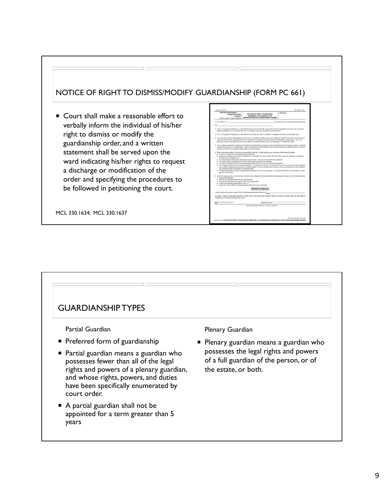## NOTICE OF RIGHT TO DISMISS/MODIFY GUARDIANSHIP (FORM PC 661)

■ Court shall make a reasonable effort to verbally inform the individual of his/her right to dismiss or modify the guardianship order, and a written statement shall be served upon the ward indicating his/her rights to request a discharge or modification of the order and specifying the procedures to be followed in petitioning the court.

MCL 330.1634; MCL 330.1637



## GUARDIANSHIP TYPES Partial Guardian Preferred form of guardianship Partial guardian means a guardian who possesses fewer than all of the legal rights and powers of a plenary guardian, and whose rights, powers, and duties have been specifically enumerated by court order. ■ A partial guardian shall not be appointed for a term greater than 5 years Plenary Guardian **Plenary guardian means a guardian who** possesses the legal rights and powers of a full guardian of the person, or of the estate, or both.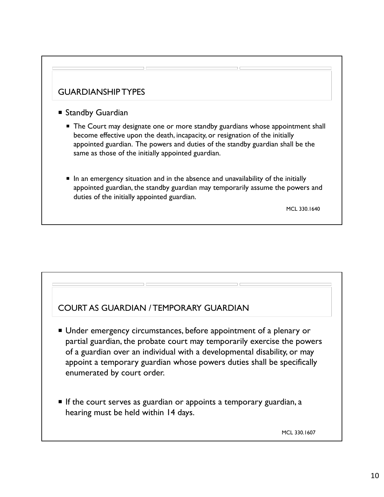## GUARDIANSHIP TYPES

- Standby Guardian
	- **The Court may designate one or more standby guardians whose appointment shall** become effective upon the death, incapacity, or resignation of the initially appointed guardian. The powers and duties of the standby guardian shall be the same as those of the initially appointed guardian.
	- In an emergency situation and in the absence and unavailability of the initially appointed guardian, the standby guardian may temporarily assume the powers and duties of the initially appointed guardian.

MCL 330.1640

## COURT AS GUARDIAN / TEMPORARY GUARDIAN

- Under emergency circumstances, before appointment of a plenary or partial guardian, the probate court may temporarily exercise the powers of a guardian over an individual with a developmental disability, or may appoint a temporary guardian whose powers duties shall be specifically enumerated by court order.
- $\blacksquare$  If the court serves as guardian or appoints a temporary guardian, a hearing must be held within 14 days.

MCL 330.1607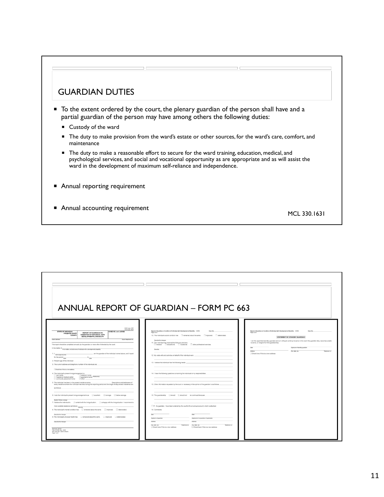## GUARDIAN DUTIES

- To the extent ordered by the court, the plenary guardian of the person shall have and a partial guardian of the person may have among others the following duties:
	- Custody of the ward
	- The duty to make provision from the ward's estate or other sources, for the ward's care, comfort, and maintenance
	- **The duty to make a reasonable effort to secure for the ward training, education, medical, and** psychological services, and social and vocational opportunity as are appropriate and as will assist the ward in the development of maximum self-reliance and independence.
- Annual reporting requirement
- **Annual accounting requirement** MCL 330.1631

|                                                                                                                                                                                                                        | ANNUAL REPORT OF GUARDIAN - FORM PC 663                                                                                                               |                                                                                                                                                         |
|------------------------------------------------------------------------------------------------------------------------------------------------------------------------------------------------------------------------|-------------------------------------------------------------------------------------------------------------------------------------------------------|---------------------------------------------------------------------------------------------------------------------------------------------------------|
|                                                                                                                                                                                                                        |                                                                                                                                                       |                                                                                                                                                         |
|                                                                                                                                                                                                                        |                                                                                                                                                       |                                                                                                                                                         |
| PCS Code: COP                                                                                                                                                                                                          |                                                                                                                                                       |                                                                                                                                                         |
| TCS Code: RGD<br><b>STATE OF MICHIGAN</b><br>CASE NO. and JUDGE<br>REPORT OF GUARDIAN ON<br><b>PROBATE COURT</b><br>CONDITION OF INDIVIDUAL WITH<br>COUNTY                                                             | Report of Quardian on Condition of Individual with Developmental Disability (10/20)<br>Case No.<br>Page 2 of 3                                        | Report of Quardian on Condition of Individual with Developmental Disability (10/20)<br>Case No.<br>Page 3 of 3                                          |
| DEVELOPMENTAL DISABILITY<br>Court address<br>Court telephone no                                                                                                                                                        | 10. The individual's social condition has C remained about the same. C improved. C deteriorated.<br>Describe the changes                              | STATEMENT BY STANDBY GUARDIAN<br>I am the appointed standby guardian and am willing to continue to serve in the event the guardian dies, becomes unable |
| This report should be completed annually by the guardian or more often if directed by the court.                                                                                                                       | 11. The individual has received the following services:<br>$\Box$ medical. $\Box$ educational. $\Box$ vocational. $\Box$ other professional services. | to serve, or resigns from the guardianship.                                                                                                             |
| In the matter of First, midde, and last name of individual with a developmental disability                                                                                                                             | Describe                                                                                                                                              | Signelure of standby guardian<br>Date<br>Address                                                                                                        |
| , am the guardian of the individual named above, and I report<br>1. L. Name (type or print)                                                                                                                            | 12. My visits with and activities on behalf of the individual were:                                                                                   | City, state, zip-<br>Telephone no.<br>Check here if this is a new address                                                                               |
| for the period new<br>2. Present age of the individual:                                                                                                                                                                |                                                                                                                                                       |                                                                                                                                                         |
| 3. The current address and telephone number of the individual are:                                                                                                                                                     | 13. I believe the individual has the following needs:                                                                                                 |                                                                                                                                                         |
| Check here if this is a new address                                                                                                                                                                                    |                                                                                                                                                       |                                                                                                                                                         |
| 4. The indvidual's present living arrangement is:<br>own home                                                                                                                                                          | 14. I have the following questions concerning the individual or my responsibilities:                                                                  |                                                                                                                                                         |
| guardian's home Restoration<br>hospital or medical center<br>community placement home<br>$\rule{0.15cm}{0.03em}$                                                                                                       |                                                                                                                                                       |                                                                                                                                                         |
| 5. The individual has been in the present residence since<br>Descriptions and addresses of<br>every residence where the individual has lived during this reporting period and the length of stay at each residence are | 15. Other information requested by the court or necessary in the opinion of the guardian is as follows:                                               |                                                                                                                                                         |
| as follows:                                                                                                                                                                                                            |                                                                                                                                                       |                                                                                                                                                         |
| 6. I rate the individual's present living arrangements as $\Box$ excellent. $\Box$ average. $\Box$ below average.                                                                                                      | 16. The guardianship Eshould Eshould not be continued because:                                                                                        |                                                                                                                                                         |
| Explain if below everage                                                                                                                                                                                               |                                                                                                                                                       |                                                                                                                                                         |
| 7. I believe the individual is $\Box$ content with the living situation. $\Box$ unhappy with the living situation. I recommend a<br>more sultable residence as follows: Descrite                                       | 17. As guardian, I have been ordered by the court to file an annual account, which is attached.                                                       |                                                                                                                                                         |
|                                                                                                                                                                                                                        | 18. Comments:                                                                                                                                         |                                                                                                                                                         |
| Describe the changes<br>9. The individual's physical health has $\Box$ remained about the same. $\Box$ improved. $\Box$ deteriorated.                                                                                  | <b>Tista</b><br>Data:                                                                                                                                 |                                                                                                                                                         |
| Describe the changes                                                                                                                                                                                                   | Signature of co-guardian (if applicable)<br>Signature of guardian<br>Address<br>Antress                                                               |                                                                                                                                                         |
|                                                                                                                                                                                                                        | City state, pp.<br>Telephone no. City, state, pip<br>Telephone no.<br>Check here if this is a new address                                             |                                                                                                                                                         |
| Approved, SCAO<br>Form PC 663, Rev. 1003<br>MCL 330.1631, MCR 5.409(A)                                                                                                                                                 | Check here if this is a new address                                                                                                                   |                                                                                                                                                         |
| Elene 1 of 3                                                                                                                                                                                                           |                                                                                                                                                       |                                                                                                                                                         |
|                                                                                                                                                                                                                        |                                                                                                                                                       |                                                                                                                                                         |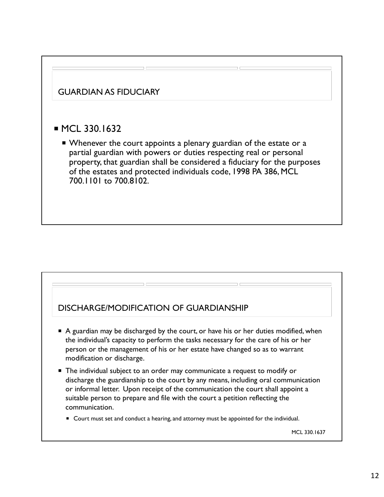

## DISCHARGE/MODIFICATION OF GUARDIANSHIP

- A guardian may be discharged by the court, or have his or her duties modified, when the individual's capacity to perform the tasks necessary for the care of his or her person or the management of his or her estate have changed so as to warrant modification or discharge.
- The individual subject to an order may communicate a request to modify or discharge the guardianship to the court by any means, including oral communication or informal letter. Upon receipt of the communication the court shall appoint a suitable person to prepare and file with the court a petition reflecting the communication.
	- **Court must set and conduct a hearing, and attorney must be appointed for the individual.**

MCL 330.1637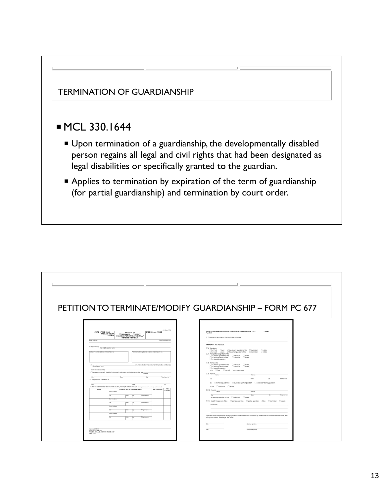

|                                                          |                                                                                                                                                                   | PETITION TO TERMINATE/MODIFY GUARDIANSHIP - FORM PC 677                                                                                                                                                                                                                                                         |
|----------------------------------------------------------|-------------------------------------------------------------------------------------------------------------------------------------------------------------------|-----------------------------------------------------------------------------------------------------------------------------------------------------------------------------------------------------------------------------------------------------------------------------------------------------------------|
|                                                          | JIS Cade: PTD                                                                                                                                                     |                                                                                                                                                                                                                                                                                                                 |
| <b>STATE OF MICHIGAN</b><br>Court address                | CASE NO. and JUDGE<br>PETITION TO<br><b>PROBATE COURT</b><br>TERMINATE MODIFY<br>COUNTY GUARDIAN FOR DEVELOPMENTALLY<br>DISABLED INDIVIDUAL<br>Court telephone no | Petition to Terminate/Modify Guardian for Developmentally Disabled Individual (5/21)<br>Case No.<br>Page 2 of 2<br>5. The reasons why the court should take action are                                                                                                                                          |
| In the matter of First middle, and last name             |                                                                                                                                                                   | I REQUEST that the court:<br>C 6. Terminate                                                                                                                                                                                                                                                                     |
| Petitioner's name, address, and bliephone no.            | Pettioner's attorney, bar no., address, and telephone no.                                                                                                         | Da. Call Chart of the plenary guardian of the Cindividual. Cestate.<br>Ob. Call Chart of the partial guardian of the Cindividual. Cestate.<br>7. Accept the resignation of the<br>□a. plenary guardian of the □individual □estate.<br>□b. partial guardian of the □individual □estate.<br>Lc. standby guardian. |
| 1. L Name (type or print)<br>State interest/relationship | , am interested in this matter and make this petition as                                                                                                          | 5. Remove the<br>□a. plenary guardian of the Cindividual Cestate,<br>□b. partial guardian of the Cindividual Cestate,<br>Cc. standby guardian,                                                                                                                                                                  |
|                                                          | 2. The developmentally disabled individual's address and telephone number are Alama                                                                               | who I has I has not been suspended.<br>$\Box$ 9. Appoint $\frac{1}{\text{Name}}$<br>AARest                                                                                                                                                                                                                      |
| City<br>3. The guardian's address is                     | <b>Finite</b><br>Zo<br>Telephone no.                                                                                                                              | 2n<br>City<br>Telephone no.<br><b>Exurs</b>                                                                                                                                                                                                                                                                     |
|                                                          |                                                                                                                                                                   | as Demporary guardian Disuccessor partial guardian Disuccessor plenary guardian                                                                                                                                                                                                                                 |
| City                                                     | <b>State</b><br>$Z_{\mathcal{D}}$<br>4. The developmentally disabled individual's presumptive helrs are: (Atach a separate sheet if more space is needed.)        | of the <b>Cindividual</b> Cestate.                                                                                                                                                                                                                                                                              |
| NAME                                                     | AGE <sup>-</sup><br>ADDRESS AND TELEPHONE NUMBER<br>RELATIONSHIP<br>(fining)<br><b>Preef address</b>                                                              | $\square$ 10. Appoint $\frac{1}{\text{Name}}$<br>Athess                                                                                                                                                                                                                                                         |
|                                                          | Telephone no.<br>State<br>126                                                                                                                                     | Cov<br>Finder<br>Telephone no.<br>Zo                                                                                                                                                                                                                                                                            |
|                                                          | <b>Reet address</b>                                                                                                                                               | as standby guardian of the Lindwidual. Destate.<br>□11. Modify the powers of the □plenary guardian □partial guardian of the □individual □estate                                                                                                                                                                 |
|                                                          | Telephone no.                                                                                                                                                     | as follows:                                                                                                                                                                                                                                                                                                     |
|                                                          | <b>Dread Address</b><br>Telephone no.                                                                                                                             |                                                                                                                                                                                                                                                                                                                 |
|                                                          |                                                                                                                                                                   |                                                                                                                                                                                                                                                                                                                 |
|                                                          | <b>Dreet address</b>                                                                                                                                              |                                                                                                                                                                                                                                                                                                                 |